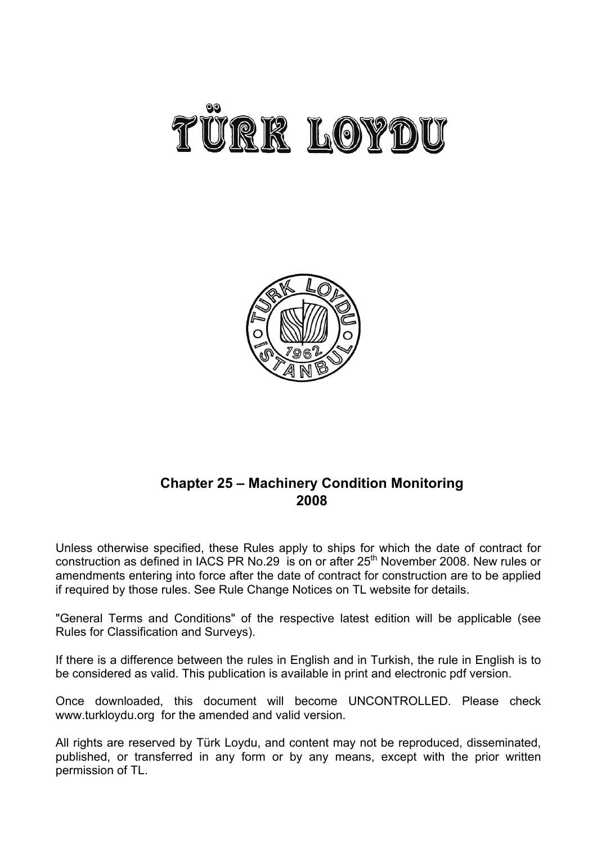



# **Chapter 25 – Machinery Condition Monitoring 2008**

Unless otherwise specified, these Rules apply to ships for which the date of contract for construction as defined in IACS PR No.29 is on or after  $25<sup>th</sup>$  November 2008. New rules or amendments entering into force after the date of contract for construction are to be applied if required by those rules. See Rule Change Notices on TL website for details.

"General Terms and Conditions" of the respective latest edition will be applicable (see Rules for Classification and Surveys).

If there is a difference between the rules in English and in Turkish, the rule in English is to be considered as valid. This publication is available in print and electronic pdf version.

Once downloaded, this document will become UNCONTROLLED. Please check www.turkloydu.org for the amended and valid version.

All rights are reserved by Türk Loydu, and content may not be reproduced, disseminated, published, or transferred in any form or by any means, except with the prior written permission of TL.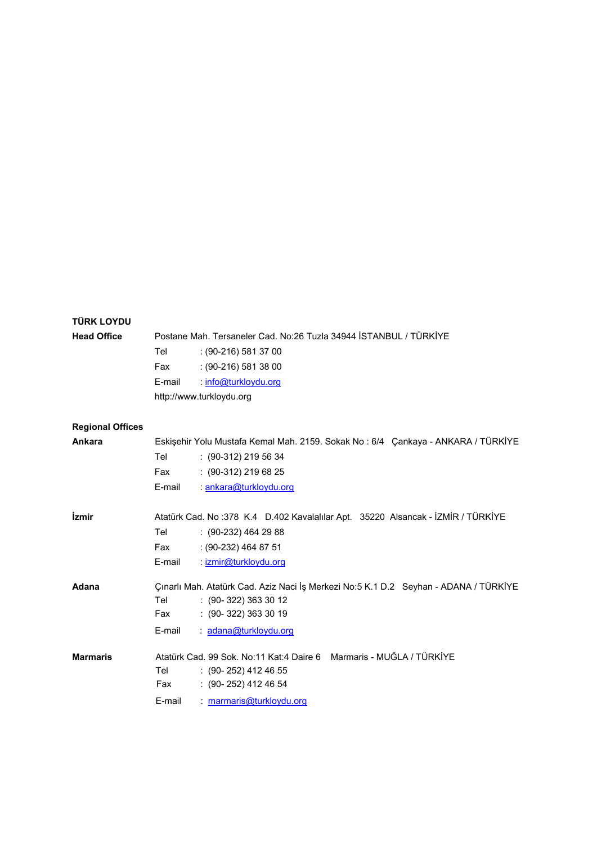| <b>TÜRK LOYDU</b>       |        |                                                                                      |
|-------------------------|--------|--------------------------------------------------------------------------------------|
| <b>Head Office</b>      |        | Postane Mah. Tersaneler Cad. No:26 Tuzla 34944 İSTANBUL / TÜRKİYE                    |
|                         | Tel    | $(90-216)$ 581 37 00                                                                 |
|                         | Fax    | $(90-216)$ 581 38 00                                                                 |
|                         | E-mail | : info@turkloydu.org                                                                 |
|                         |        | http://www.turkloydu.org                                                             |
|                         |        |                                                                                      |
| <b>Regional Offices</b> |        |                                                                                      |
| Ankara                  |        | Eskişehir Yolu Mustafa Kemal Mah. 2159. Sokak No: 6/4 Çankaya - ANKARA / TÜRKİYE     |
|                         | Tel    | $: (90-312)$ 219 56 34                                                               |
|                         | Fax    | $: (90-312)$ 219 68 25                                                               |
|                         | E-mail | : ankara@turkloydu.org                                                               |
|                         |        |                                                                                      |
| <i>izmir</i>            |        | Atatürk Cad. No :378 K.4 D.402 Kavalalılar Apt. 35220 Alsancak - İZMİR / TÜRKİYE     |
|                         | Tel    | $(90-232)$ 464 29 88                                                                 |
|                         | Fax    | $: (90-232)$ 464 87 51                                                               |
|                         | E-mail | : izmir@turkloydu.org                                                                |
| Adana                   |        | Çınarlı Mah. Atatürk Cad. Aziz Naci İş Merkezi No:5 K.1 D.2 Seyhan - ADANA / TÜRKİYE |
|                         | Tel    | $: (90 - 322) 363 30 12$                                                             |
|                         | Fax    | $: (90 - 322) 363 30 19$                                                             |
|                         | E-mail | : adana@turkloydu.org                                                                |
|                         |        |                                                                                      |
| <b>Marmaris</b>         |        | Atatürk Cad. 99 Sok. No:11 Kat:4 Daire 6 Marmaris - MUĞLA / TÜRKİYE                  |
|                         | Tel    | $(90 - 252)$ 412 46 55                                                               |
|                         | Fax    | $: (90 - 252)$ 412 46 54                                                             |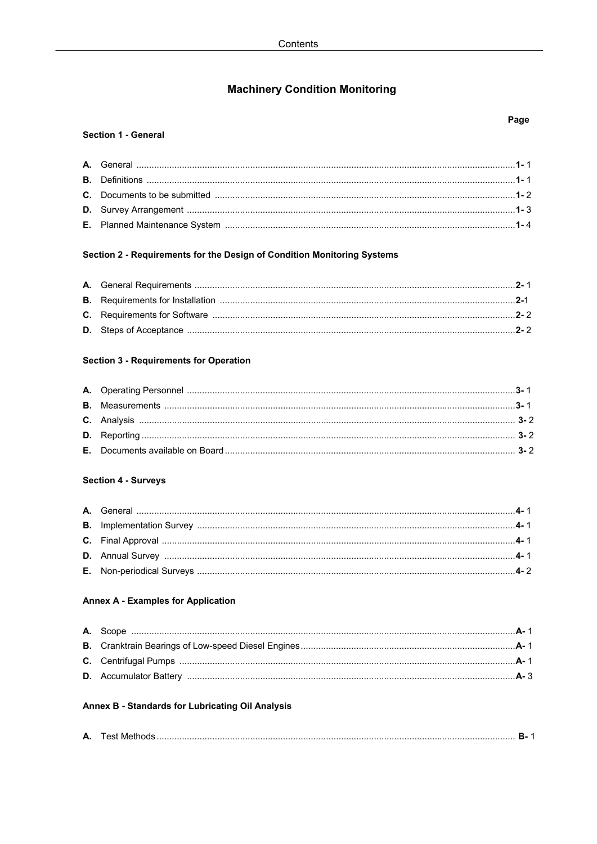# **Machinery Condition Monitoring**

### **Section 1 - General**

## Section 2 - Requirements for the Design of Condition Monitoring Systems

## **Section 3 - Requirements for Operation**

## **Section 4 - Surveys**

## **Annex A - Examples for Application**

## Annex B - Standards for Lubricating Oil Analysis

|--|--|--|--|

## Page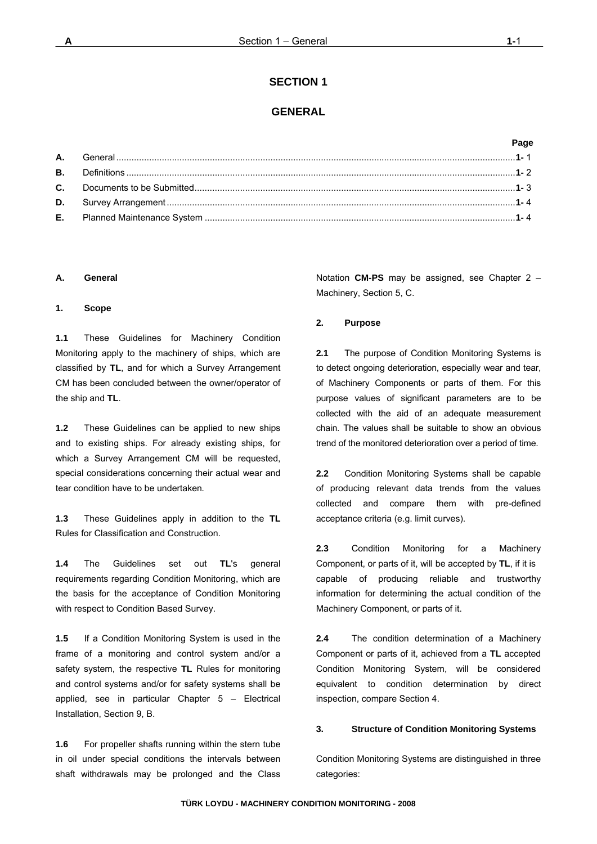## **GENERAL**

## **Page**

### **A. General**

#### **1. Scope**

**1.1** These Guidelines for Machinery Condition Monitoring apply to the machinery of ships, which are classified by **TL**, and for which a Survey Arrangement CM has been concluded between the owner/operator of the ship and **TL**.

**1.2** These Guidelines can be applied to new ships and to existing ships. For already existing ships, for which a Survey Arrangement CM will be requested, special considerations concerning their actual wear and tear condition have to be undertaken*.* 

**1.3** These Guidelines apply in addition to the **TL** Rules for Classification and Construction.

**1.4** The Guidelines set out **TL**'s general requirements regarding Condition Monitoring, which are the basis for the acceptance of Condition Monitoring with respect to Condition Based Survey.

**1.5** If a Condition Monitoring System is used in the frame of a monitoring and control system and/or a safety system, the respective **TL** Rules for monitoring and control systems and/or for safety systems shall be applied, see in particular Chapter 5 – Electrical Installation, Section 9, B.

**1.6** For propeller shafts running within the stern tube in oil under special conditions the intervals between shaft withdrawals may be prolonged and the Class

Notation **CM-PS** may be assigned, see Chapter 2 – Machinery, Section 5, C.

#### **2. Purpose**

**2.1** The purpose of Condition Monitoring Systems is to detect ongoing deterioration, especially wear and tear, of Machinery Components or parts of them. For this purpose values of significant parameters are to be collected with the aid of an adequate measurement chain. The values shall be suitable to show an obvious trend of the monitored deterioration over a period of time.

**2.2** Condition Monitoring Systems shall be capable of producing relevant data trends from the values collected and compare them with pre-defined acceptance criteria (e.g. limit curves).

**2.3** Condition Monitoring for a Machinery Component, or parts of it, will be accepted by **TL**, if it is capable of producing reliable and trustworthy information for determining the actual condition of the Machinery Component, or parts of it.

**2.4** The condition determination of a Machinery Component or parts of it, achieved from a **TL** accepted Condition Monitoring System, will be considered equivalent to condition determination by direct inspection, compare Section 4.

### **3. Structure of Condition Monitoring Systems**

Condition Monitoring Systems are distinguished in three categories: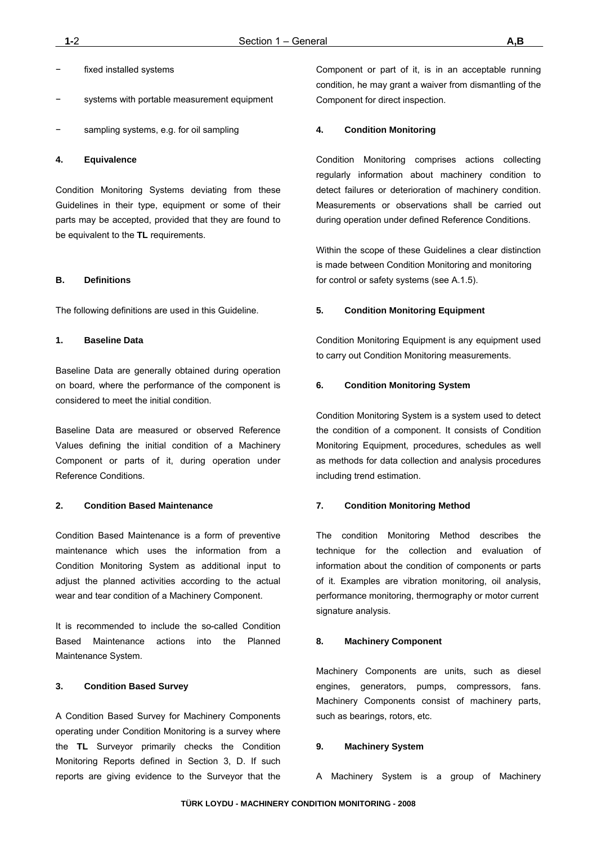- fixed installed systems
- systems with portable measurement equipment
- sampling systems, e.g. for oil sampling

#### **4. Equivalence**

Condition Monitoring Systems deviating from these Guidelines in their type, equipment or some of their parts may be accepted, provided that they are found to be equivalent to the **TL** requirements.

### **B. Definitions**

The following definitions are used in this Guideline.

#### **1. Baseline Data**

Baseline Data are generally obtained during operation on board, where the performance of the component is considered to meet the initial condition.

Baseline Data are measured or observed Reference Values defining the initial condition of a Machinery Component or parts of it, during operation under Reference Conditions.

### **2. Condition Based Maintenance**

Condition Based Maintenance is a form of preventive maintenance which uses the information from a Condition Monitoring System as additional input to adjust the planned activities according to the actual wear and tear condition of a Machinery Component.

It is recommended to include the so-called Condition Based Maintenance actions into the Planned Maintenance System.

#### **3. Condition Based Survey**

A Condition Based Survey for Machinery Components operating under Condition Monitoring is a survey where the **TL** Surveyor primarily checks the Condition Monitoring Reports defined in Section 3, D. If such reports are giving evidence to the Surveyor that the

Component or part of it, is in an acceptable running condition, he may grant a waiver from dismantling of the Component for direct inspection.

#### **4. Condition Monitoring**

Condition Monitoring comprises actions collecting regularly information about machinery condition to detect failures or deterioration of machinery condition. Measurements or observations shall be carried out during operation under defined Reference Conditions.

Within the scope of these Guidelines a clear distinction is made between Condition Monitoring and monitoring for control or safety systems (see A.1.5).

### **5. Condition Monitoring Equipment**

Condition Monitoring Equipment is any equipment used to carry out Condition Monitoring measurements.

#### **6. Condition Monitoring System**

Condition Monitoring System is a system used to detect the condition of a component. It consists of Condition Monitoring Equipment, procedures, schedules as well as methods for data collection and analysis procedures including trend estimation.

### **7. Condition Monitoring Method**

The condition Monitoring Method describes the technique for the collection and evaluation of information about the condition of components or parts of it. Examples are vibration monitoring, oil analysis, performance monitoring, thermography or motor current signature analysis.

#### **8. Machinery Component**

Machinery Components are units, such as diesel engines, generators, pumps, compressors, fans. Machinery Components consist of machinery parts, such as bearings, rotors, etc.

#### **9. Machinery System**

A Machinery System is a group of Machinery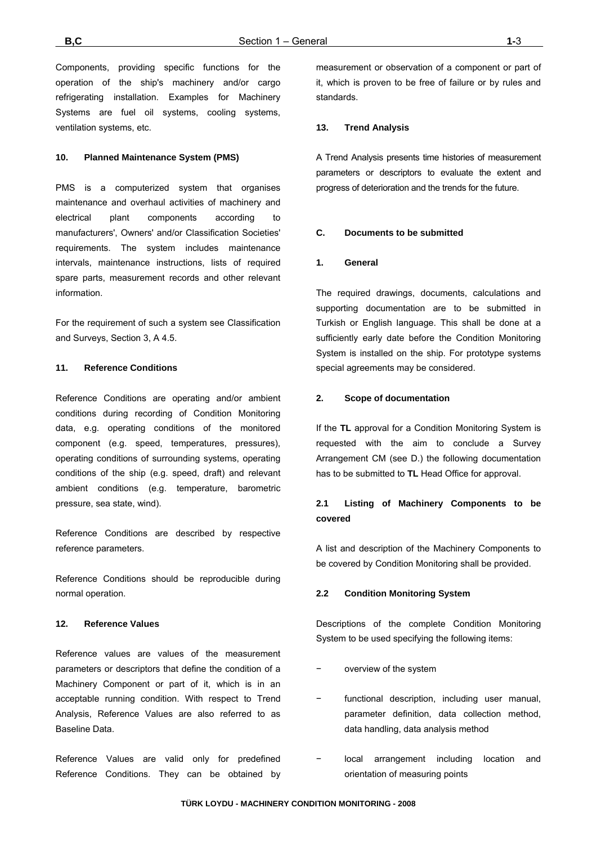Components, providing specific functions for the operation of the ship's machinery and/or cargo refrigerating installation. Examples for Machinery Systems are fuel oil systems, cooling systems, ventilation systems, etc.

### **10. Planned Maintenance System (PMS)**

PMS is a computerized system that organises maintenance and overhaul activities of machinery and electrical plant components according to manufacturers', Owners' and/or Classification Societies' requirements. The system includes maintenance intervals, maintenance instructions, lists of required spare parts, measurement records and other relevant information.

For the requirement of such a system see Classification and Surveys, Section 3, A 4.5.

### **11. Reference Conditions**

Reference Conditions are operating and/or ambient conditions during recording of Condition Monitoring data, e.g. operating conditions of the monitored component (e.g. speed, temperatures, pressures), operating conditions of surrounding systems, operating conditions of the ship (e.g. speed, draft) and relevant ambient conditions (e.g. temperature, barometric pressure, sea state, wind).

Reference Conditions are described by respective reference parameters.

Reference Conditions should be reproducible during normal operation.

#### **12. Reference Values**

Reference values are values of the measurement parameters or descriptors that define the condition of a Machinery Component or part of it, which is in an acceptable running condition. With respect to Trend Analysis, Reference Values are also referred to as Baseline Data.

Reference Values are valid only for predefined Reference Conditions. They can be obtained by measurement or observation of a component or part of it, which is proven to be free of failure or by rules and standards.

### **13. Trend Analysis**

A Trend Analysis presents time histories of measurement parameters or descriptors to evaluate the extent and progress of deterioration and the trends for the future.

#### **C. Documents to be submitted**

#### **1. General**

The required drawings, documents, calculations and supporting documentation are to be submitted in Turkish or English language. This shall be done at a sufficiently early date before the Condition Monitoring System is installed on the ship. For prototype systems special agreements may be considered.

#### **2. Scope of documentation**

If the **TL** approval for a Condition Monitoring System is requested with the aim to conclude a Survey Arrangement CM (see D.) the following documentation has to be submitted to **TL** Head Office for approval.

## **2.1 Listing of Machinery Components to be covered**

A list and description of the Machinery Components to be covered by Condition Monitoring shall be provided.

#### **2.2 Condition Monitoring System**

Descriptions of the complete Condition Monitoring System to be used specifying the following items:

- − overview of the system
- functional description, including user manual, parameter definition, data collection method, data handling, data analysis method
- − local arrangement including location and orientation of measuring points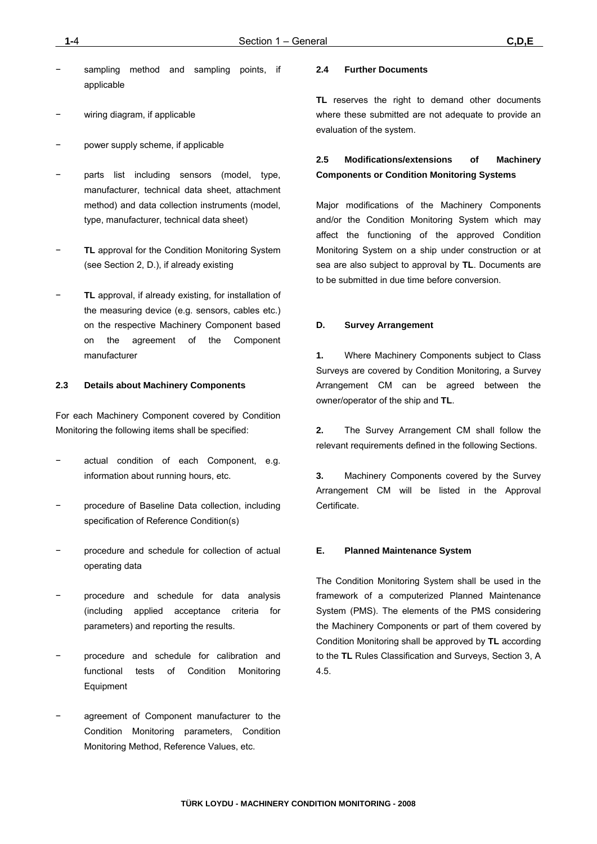- sampling method and sampling points, if applicable
- wiring diagram, if applicable
- power supply scheme, if applicable
- parts list including sensors (model, type, manufacturer, technical data sheet, attachment method) and data collection instruments (model, type, manufacturer, technical data sheet)
- − **TL** approval for the Condition Monitoring System (see Section 2, D.), if already existing
- − **TL** approval, if already existing, for installation of the measuring device (e.g. sensors, cables etc.) on the respective Machinery Component based on the agreement of the Component manufacturer

## **2.3 Details about Machinery Components**

For each Machinery Component covered by Condition Monitoring the following items shall be specified:

- actual condition of each Component, e.g. information about running hours, etc.
- − procedure of Baseline Data collection, including specification of Reference Condition(s)
- − procedure and schedule for collection of actual operating data
- − procedure and schedule for data analysis (including applied acceptance criteria for parameters) and reporting the results.
- − procedure and schedule for calibration and functional tests of Condition Monitoring Equipment
- agreement of Component manufacturer to the Condition Monitoring parameters, Condition Monitoring Method, Reference Values, etc.

### **2.4 Further Documents**

**TL** reserves the right to demand other documents where these submitted are not adequate to provide an evaluation of the system.

## **2.5 Modifications/extensions of Machinery Components or Condition Monitoring Systems**

Major modifications of the Machinery Components and/or the Condition Monitoring System which may affect the functioning of the approved Condition Monitoring System on a ship under construction or at sea are also subject to approval by **TL**. Documents are to be submitted in due time before conversion.

## **D. Survey Arrangement**

**1.** Where Machinery Components subject to Class Surveys are covered by Condition Monitoring, a Survey Arrangement CM can be agreed between the owner/operator of the ship and **TL**.

**2.** The Survey Arrangement CM shall follow the relevant requirements defined in the following Sections.

**3.** Machinery Components covered by the Survey Arrangement CM will be listed in the Approval Certificate.

## **E. Planned Maintenance System**

The Condition Monitoring System shall be used in the framework of a computerized Planned Maintenance System (PMS). The elements of the PMS considering the Machinery Components or part of them covered by Condition Monitoring shall be approved by **TL** according to the **TL** Rules Classification and Surveys, Section 3, A 4.5.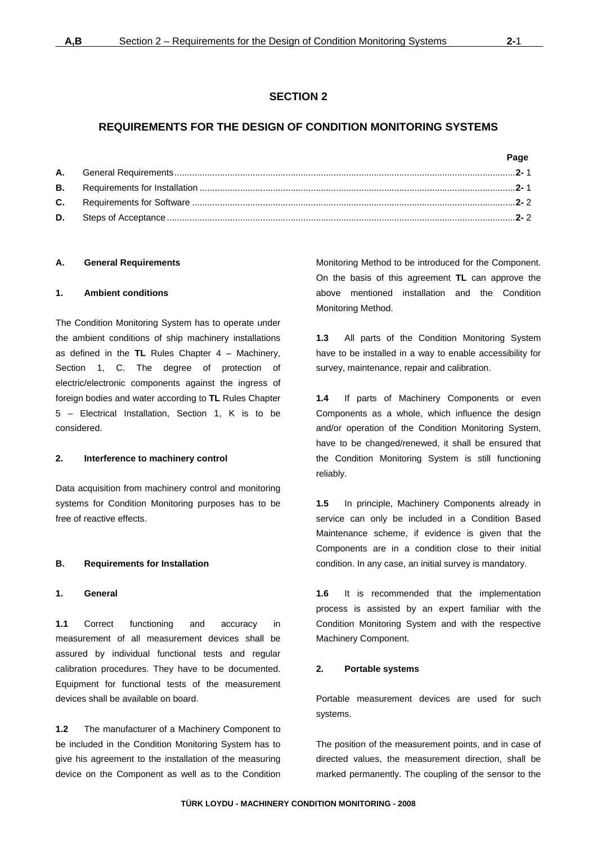## **SECTION 2**

## **REQUIREMENTS FOR THE DESIGN OF CONDITION MONITORING SYSTEMS**

|  | Page |
|--|------|
|  |      |
|  |      |
|  |      |
|  |      |

## **A. General Requirements**

## **1. Ambient conditions**

The Condition Monitoring System has to operate under the ambient conditions of ship machinery installations as defined in the **TL** Rules Chapter 4 – Machinery, Section 1, C. The degree of protection of electric/electronic components against the ingress of foreign bodies and water according to **TL** Rules Chapter 5 – Electrical Installation, Section 1, K is to be considered.

### **2. Interference to machinery control**

Data acquisition from machinery control and monitoring systems for Condition Monitoring purposes has to be free of reactive effects.

## **B. Requirements for Installation**

## **1. General**

**1.1** Correct functioning and accuracy in measurement of all measurement devices shall be assured by individual functional tests and regular calibration procedures. They have to be documented. Equipment for functional tests of the measurement devices shall be available on board.

**1.2** The manufacturer of a Machinery Component to be included in the Condition Monitoring System has to give his agreement to the installation of the measuring device on the Component as well as to the Condition

Monitoring Method to be introduced for the Component. On the basis of this agreement **TL** can approve the above mentioned installation and the Condition Monitoring Method.

**1.3** All parts of the Condition Monitoring System have to be installed in a way to enable accessibility for survey, maintenance, repair and calibration.

**1.4** If parts of Machinery Components or even Components as a whole, which influence the design and/or operation of the Condition Monitoring System, have to be changed/renewed, it shall be ensured that the Condition Monitoring System is still functioning reliably.

**1.5** In principle, Machinery Components already in service can only be included in a Condition Based Maintenance scheme, if evidence is given that the Components are in a condition close to their initial condition. In any case, an initial survey is mandatory.

**1.6** It is recommended that the implementation process is assisted by an expert familiar with the Condition Monitoring System and with the respective Machinery Component.

### **2. Portable systems**

Portable measurement devices are used for such systems.

The position of the measurement points, and in case of directed values, the measurement direction, shall be marked permanently. The coupling of the sensor to the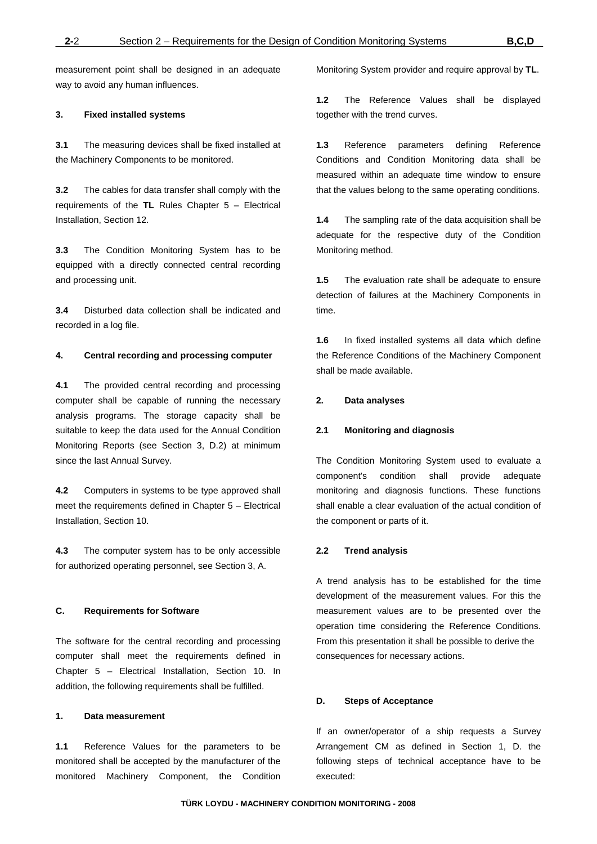measurement point shall be designed in an adequate way to avoid any human influences.

### **3. Fixed installed systems**

**3.1** The measuring devices shall be fixed installed at the Machinery Components to be monitored.

**3.2** The cables for data transfer shall comply with the requirements of the **TL** Rules Chapter 5 – Electrical Installation, Section 12.

**3.3** The Condition Monitoring System has to be equipped with a directly connected central recording and processing unit.

**3.4** Disturbed data collection shall be indicated and recorded in a log file.

### **4. Central recording and processing computer**

**4.1** The provided central recording and processing computer shall be capable of running the necessary analysis programs. The storage capacity shall be suitable to keep the data used for the Annual Condition Monitoring Reports (see Section 3, D.2) at minimum since the last Annual Survey.

**4.2** Computers in systems to be type approved shall meet the requirements defined in Chapter 5 – Electrical Installation, Section 10.

**4.3** The computer system has to be only accessible for authorized operating personnel, see Section 3, A.

## **C. Requirements for Software**

The software for the central recording and processing computer shall meet the requirements defined in Chapter 5 – Electrical Installation, Section 10. In addition, the following requirements shall be fulfilled.

#### **1. Data measurement**

**1.1** Reference Values for the parameters to be monitored shall be accepted by the manufacturer of the monitored Machinery Component, the Condition Monitoring System provider and require approval by **TL**.

**1.2** The Reference Values shall be displayed together with the trend curves.

**1.3** Reference parameters defining Reference Conditions and Condition Monitoring data shall be measured within an adequate time window to ensure that the values belong to the same operating conditions.

**1.4** The sampling rate of the data acquisition shall be adequate for the respective duty of the Condition Monitoring method.

**1.5** The evaluation rate shall be adequate to ensure detection of failures at the Machinery Components in time.

**1.6** In fixed installed systems all data which define the Reference Conditions of the Machinery Component shall be made available.

### **2. Data analyses**

### **2.1 Monitoring and diagnosis**

The Condition Monitoring System used to evaluate a component's condition shall provide adequate monitoring and diagnosis functions. These functions shall enable a clear evaluation of the actual condition of the component or parts of it.

#### **2.2 Trend analysis**

A trend analysis has to be established for the time development of the measurement values. For this the measurement values are to be presented over the operation time considering the Reference Conditions. From this presentation it shall be possible to derive the consequences for necessary actions.

#### **D. Steps of Acceptance**

If an owner/operator of a ship requests a Survey Arrangement CM as defined in Section 1, D. the following steps of technical acceptance have to be executed: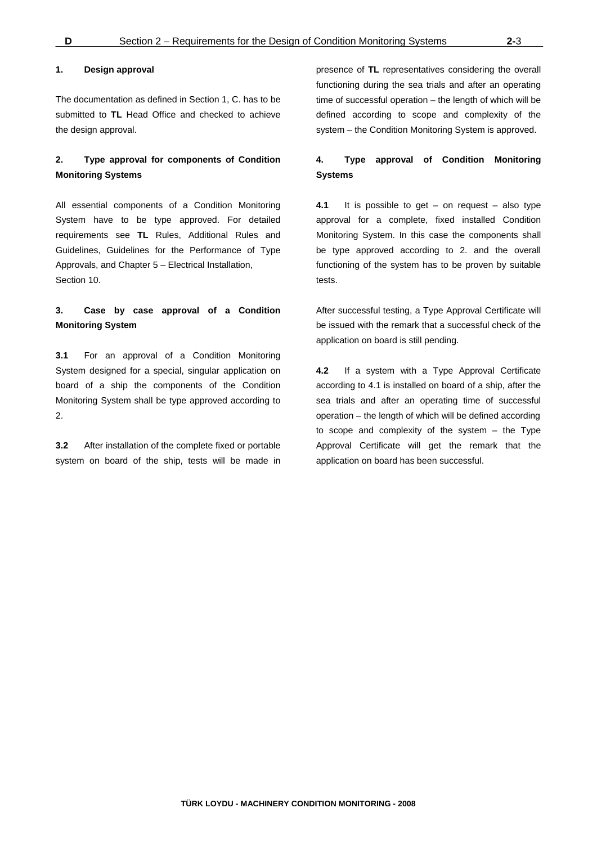#### **1. Design approval**

The documentation as defined in Section 1, C. has to be submitted to **TL** Head Office and checked to achieve the design approval.

## **2. Type approval for components of Condition Monitoring Systems**

All essential components of a Condition Monitoring System have to be type approved. For detailed requirements see **TL** Rules, Additional Rules and Guidelines, Guidelines for the Performance of Type Approvals, and Chapter 5 – Electrical Installation, Section 10.

## **3. Case by case approval of a Condition Monitoring System**

**3.1** For an approval of a Condition Monitoring System designed for a special, singular application on board of a ship the components of the Condition Monitoring System shall be type approved according to 2.

**3.2** After installation of the complete fixed or portable system on board of the ship, tests will be made in presence of **TL** representatives considering the overall functioning during the sea trials and after an operating time of successful operation – the length of which will be defined according to scope and complexity of the system – the Condition Monitoring System is approved.

## **4. Type approval of Condition Monitoring Systems**

**4.1** It is possible to get – on request – also type approval for a complete, fixed installed Condition Monitoring System. In this case the components shall be type approved according to 2. and the overall functioning of the system has to be proven by suitable tests.

After successful testing, a Type Approval Certificate will be issued with the remark that a successful check of the application on board is still pending.

**4.2** If a system with a Type Approval Certificate according to 4.1 is installed on board of a ship, after the sea trials and after an operating time of successful operation – the length of which will be defined according to scope and complexity of the system – the Type Approval Certificate will get the remark that the application on board has been successful.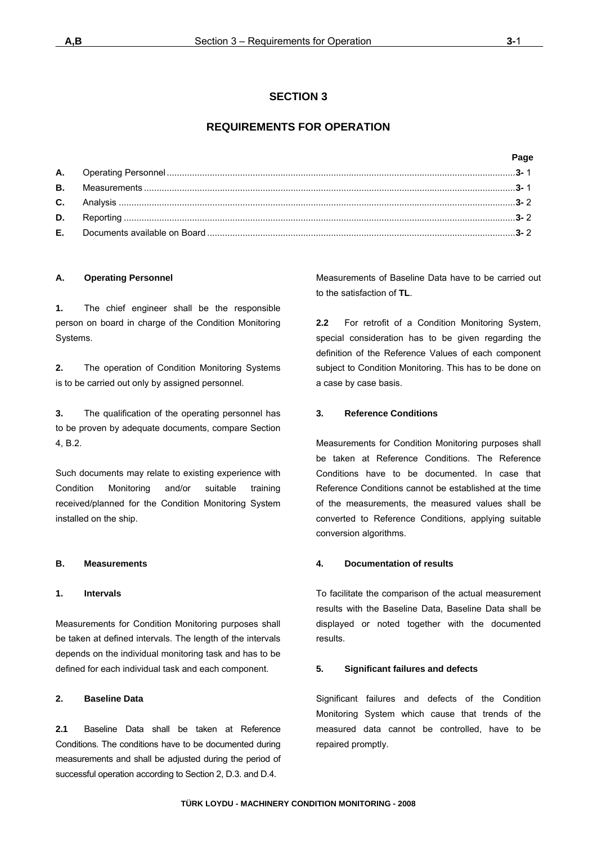## **SECTION 3**

## **REQUIREMENTS FOR OPERATION**

|  | Page |
|--|------|
|  |      |
|  |      |
|  |      |
|  |      |
|  |      |
|  |      |

## **A. Operating Personnel**

**1.** The chief engineer shall be the responsible person on board in charge of the Condition Monitoring Systems.

**2.** The operation of Condition Monitoring Systems is to be carried out only by assigned personnel.

**3.** The qualification of the operating personnel has to be proven by adequate documents, compare Section 4, B.2.

Such documents may relate to existing experience with Condition Monitoring and/or suitable training received/planned for the Condition Monitoring System installed on the ship.

## **B. Measurements**

### **1. Intervals**

Measurements for Condition Monitoring purposes shall be taken at defined intervals. The length of the intervals depends on the individual monitoring task and has to be defined for each individual task and each component.

## **2. Baseline Data**

**2.1** Baseline Data shall be taken at Reference Conditions. The conditions have to be documented during measurements and shall be adjusted during the period of successful operation according to Section 2, D.3. and D.4.

Measurements of Baseline Data have to be carried out to the satisfaction of **TL**.

**2.2** For retrofit of a Condition Monitoring System, special consideration has to be given regarding the definition of the Reference Values of each component subject to Condition Monitoring. This has to be done on a case by case basis.

### **3. Reference Conditions**

Measurements for Condition Monitoring purposes shall be taken at Reference Conditions. The Reference Conditions have to be documented. In case that Reference Conditions cannot be established at the time of the measurements, the measured values shall be converted to Reference Conditions, applying suitable conversion algorithms.

### **4. Documentation of results**

To facilitate the comparison of the actual measurement results with the Baseline Data, Baseline Data shall be displayed or noted together with the documented results.

### **5. Significant failures and defects**

Significant failures and defects of the Condition Monitoring System which cause that trends of the measured data cannot be controlled, have to be repaired promptly.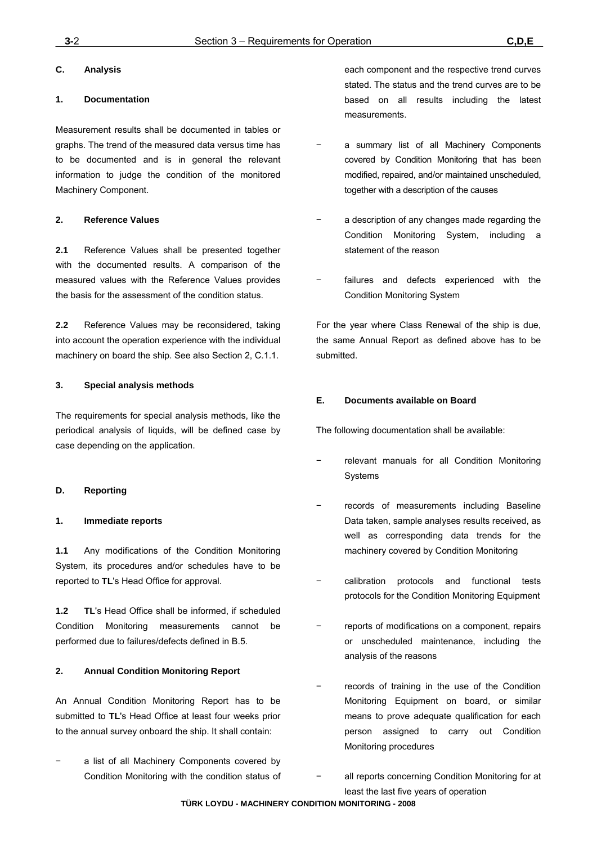## **C. Analysis**

## **1. Documentation**

Measurement results shall be documented in tables or graphs. The trend of the measured data versus time has to be documented and is in general the relevant information to judge the condition of the monitored Machinery Component.

## **2. Reference Values**

**2.1** Reference Values shall be presented together with the documented results. A comparison of the measured values with the Reference Values provides the basis for the assessment of the condition status.

**2.2** Reference Values may be reconsidered, taking into account the operation experience with the individual machinery on board the ship. See also Section 2, C.1.1.

## **3. Special analysis methods**

The requirements for special analysis methods, like the periodical analysis of liquids, will be defined case by case depending on the application.

## **D. Reporting**

## **1. Immediate reports**

**1.1** Any modifications of the Condition Monitoring System, its procedures and/or schedules have to be reported to **TL**'s Head Office for approval.

**1.2 TL**'s Head Office shall be informed, if scheduled Condition Monitoring measurements cannot be performed due to failures/defects defined in B.5.

## **2. Annual Condition Monitoring Report**

An Annual Condition Monitoring Report has to be submitted to **TL**'s Head Office at least four weeks prior to the annual survey onboard the ship. It shall contain:

a list of all Machinery Components covered by Condition Monitoring with the condition status of each component and the respective trend curves stated. The status and the trend curves are to be based on all results including the latest measurements.

- a summary list of all Machinery Components covered by Condition Monitoring that has been modified, repaired, and/or maintained unscheduled, together with a description of the causes
- a description of any changes made regarding the Condition Monitoring System, including a statement of the reason
- failures and defects experienced with the Condition Monitoring System

For the year where Class Renewal of the ship is due, the same Annual Report as defined above has to be submitted.

## **E. Documents available on Board**

The following documentation shall be available:

- − relevant manuals for all Condition Monitoring Systems
- records of measurements including Baseline Data taken, sample analyses results received, as well as corresponding data trends for the machinery covered by Condition Monitoring
- − calibration protocols and functional tests protocols for the Condition Monitoring Equipment
- reports of modifications on a component, repairs or unscheduled maintenance, including the analysis of the reasons
- records of training in the use of the Condition Monitoring Equipment on board, or similar means to prove adequate qualification for each person assigned to carry out Condition Monitoring procedures
- − all reports concerning Condition Monitoring for at least the last five years of operation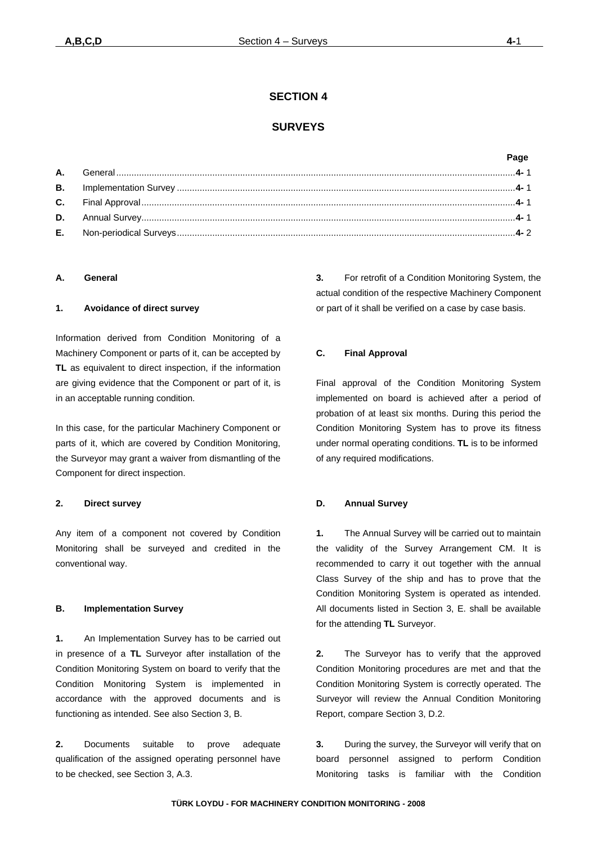## **SECTION 4**

## **SURVEYS**

## **Page**

| C. |  |  |
|----|--|--|
|    |  |  |
| Е. |  |  |

### **A. General**

### **1. Avoidance of direct survey**

Information derived from Condition Monitoring of a Machinery Component or parts of it, can be accepted by **TL** as equivalent to direct inspection, if the information are giving evidence that the Component or part of it, is in an acceptable running condition.

In this case, for the particular Machinery Component or parts of it, which are covered by Condition Monitoring, the Surveyor may grant a waiver from dismantling of the Component for direct inspection.

### **2. Direct survey**

Any item of a component not covered by Condition Monitoring shall be surveyed and credited in the conventional way.

### **B. Implementation Survey**

**1.** An Implementation Survey has to be carried out in presence of a **TL** Surveyor after installation of the Condition Monitoring System on board to verify that the Condition Monitoring System is implemented in accordance with the approved documents and is functioning as intended. See also Section 3, B.

**2.** Documents suitable to prove adequate qualification of the assigned operating personnel have to be checked, see Section 3, A.3.

**3.** For retrofit of a Condition Monitoring System, the actual condition of the respective Machinery Component or part of it shall be verified on a case by case basis.

## **C. Final Approval**

Final approval of the Condition Monitoring System implemented on board is achieved after a period of probation of at least six months. During this period the Condition Monitoring System has to prove its fitness under normal operating conditions. **TL** is to be informed of any required modifications.

### **D. Annual Survey**

**1.** The Annual Survey will be carried out to maintain the validity of the Survey Arrangement CM. It is recommended to carry it out together with the annual Class Survey of the ship and has to prove that the Condition Monitoring System is operated as intended. All documents listed in Section 3, E. shall be available for the attending **TL** Surveyor.

**2.** The Surveyor has to verify that the approved Condition Monitoring procedures are met and that the Condition Monitoring System is correctly operated. The Surveyor will review the Annual Condition Monitoring Report, compare Section 3, D.2.

**3.** During the survey, the Surveyor will verify that on board personnel assigned to perform Condition Monitoring tasks is familiar with the Condition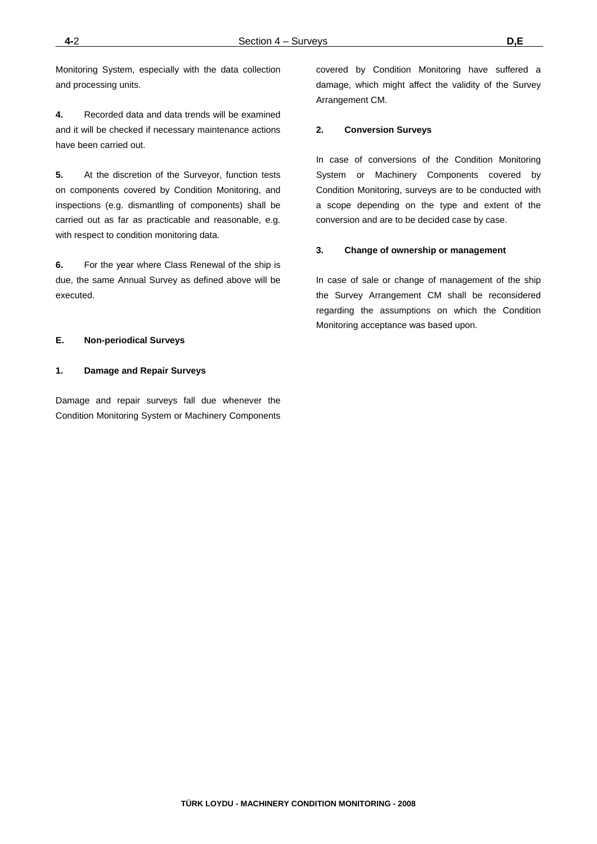Monitoring System, especially with the data collection and processing units.

**4.** Recorded data and data trends will be examined and it will be checked if necessary maintenance actions have been carried out.

**5.** At the discretion of the Surveyor, function tests on components covered by Condition Monitoring, and inspections (e.g. dismantling of components) shall be carried out as far as practicable and reasonable, e.g. with respect to condition monitoring data.

**6.** For the year where Class Renewal of the ship is due, the same Annual Survey as defined above will be executed.

### **E. Non-periodical Surveys**

### **1. Damage and Repair Surveys**

Damage and repair surveys fall due whenever the Condition Monitoring System or Machinery Components

covered by Condition Monitoring have suffered a damage, which might affect the validity of the Survey Arrangement CM.

### **2. Conversion Surveys**

In case of conversions of the Condition Monitoring System or Machinery Components covered by Condition Monitoring, surveys are to be conducted with a scope depending on the type and extent of the conversion and are to be decided case by case.

#### **3. Change of ownership or management**

In case of sale or change of management of the ship the Survey Arrangement CM shall be reconsidered regarding the assumptions on which the Condition Monitoring acceptance was based upon.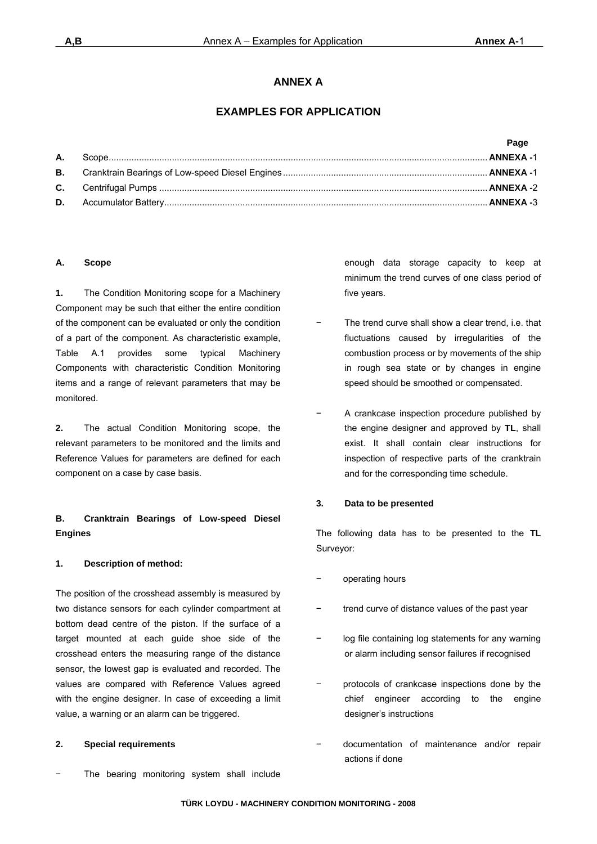## **ANNEX A**

## **EXAMPLES FOR APPLICATION**

# **Page A.** Scope ...................................................................................................................................................... **ANNEXA -**1 **B.** Cranktrain Bearings of Low-speed Diesel Engines ................................................................................. **ANNEXA -**1 **C.** Centrifugal Pumps .................................................................................................................................. **ANNEXA -**2 **D.** Accumulator Battery ................................................................................................................................ **ANNEXA -**3

## **A. Scope**

**1.** The Condition Monitoring scope for a Machinery Component may be such that either the entire condition of the component can be evaluated or only the condition of a part of the component. As characteristic example, Table A.1 provides some typical Machinery Components with characteristic Condition Monitoring items and a range of relevant parameters that may be monitored.

**2.** The actual Condition Monitoring scope, the relevant parameters to be monitored and the limits and Reference Values for parameters are defined for each component on a case by case basis.

## **B. Cranktrain Bearings of Low-speed Diesel Engines**

## **1. Description of method:**

The position of the crosshead assembly is measured by two distance sensors for each cylinder compartment at bottom dead centre of the piston. If the surface of a target mounted at each guide shoe side of the crosshead enters the measuring range of the distance sensor, the lowest gap is evaluated and recorded. The values are compared with Reference Values agreed with the engine designer. In case of exceeding a limit value, a warning or an alarm can be triggered.

### **2. Special requirements**

The bearing monitoring system shall include

enough data storage capacity to keep at minimum the trend curves of one class period of five years.

- The trend curve shall show a clear trend, i.e. that fluctuations caused by irregularities of the combustion process or by movements of the ship in rough sea state or by changes in engine speed should be smoothed or compensated.
- − A crankcase inspection procedure published by the engine designer and approved by **TL**, shall exist. It shall contain clear instructions for inspection of respective parts of the cranktrain and for the corresponding time schedule.

### **3. Data to be presented**

The following data has to be presented to the **TL** Surveyor:

- − operating hours
- trend curve of distance values of the past year
- log file containing log statements for any warning or alarm including sensor failures if recognised
- − protocols of crankcase inspections done by the chief engineer according to the engine designer's instructions
- − documentation of maintenance and/or repair actions if done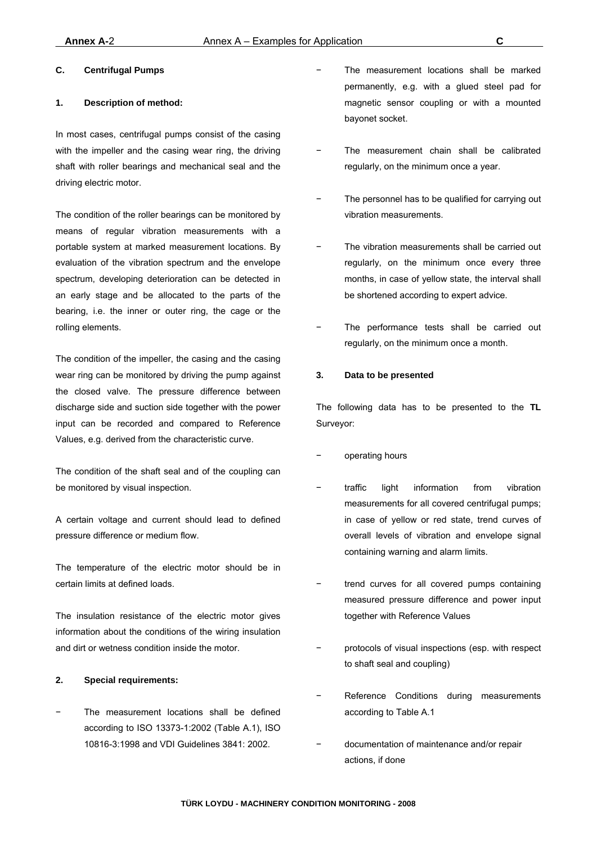## **C. Centrifugal Pumps**

#### **1. Description of method:**

In most cases, centrifugal pumps consist of the casing with the impeller and the casing wear ring, the driving shaft with roller bearings and mechanical seal and the driving electric motor.

The condition of the roller bearings can be monitored by means of regular vibration measurements with a portable system at marked measurement locations. By evaluation of the vibration spectrum and the envelope spectrum, developing deterioration can be detected in an early stage and be allocated to the parts of the bearing, i.e. the inner or outer ring, the cage or the rolling elements.

The condition of the impeller, the casing and the casing wear ring can be monitored by driving the pump against the closed valve. The pressure difference between discharge side and suction side together with the power input can be recorded and compared to Reference Values, e.g. derived from the characteristic curve.

The condition of the shaft seal and of the coupling can be monitored by visual inspection.

A certain voltage and current should lead to defined pressure difference or medium flow.

The temperature of the electric motor should be in certain limits at defined loads.

The insulation resistance of the electric motor gives information about the conditions of the wiring insulation and dirt or wetness condition inside the motor.

### **2. Special requirements:**

The measurement locations shall be defined according to ISO 13373-1:2002 (Table A.1), ISO 10816-3:1998 and VDI Guidelines 3841: 2002.

- The measurement locations shall be marked permanently, e.g. with a glued steel pad for magnetic sensor coupling or with a mounted bayonet socket.
- The measurement chain shall be calibrated regularly, on the minimum once a year.
- The personnel has to be qualified for carrying out vibration measurements.
- The vibration measurements shall be carried out regularly, on the minimum once every three months, in case of yellow state, the interval shall be shortened according to expert advice.
- The performance tests shall be carried out regularly, on the minimum once a month.

#### **3. Data to be presented**

The following data has to be presented to the **TL** Surveyor:

- − operating hours
- traffic light information from vibration measurements for all covered centrifugal pumps; in case of yellow or red state, trend curves of overall levels of vibration and envelope signal containing warning and alarm limits.
- trend curves for all covered pumps containing measured pressure difference and power input together with Reference Values
- protocols of visual inspections (esp. with respect to shaft seal and coupling)
- Reference Conditions during measurements according to Table A.1
- − documentation of maintenance and/or repair actions, if done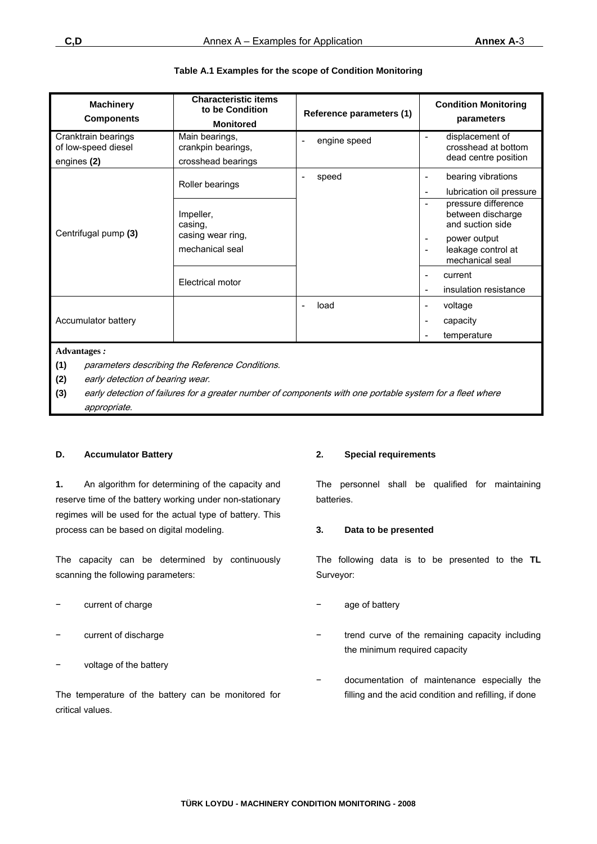| <b>Machinery</b><br><b>Components</b>                          | <b>Characteristic items</b><br>to be Condition<br><b>Monitored</b>               | Reference parameters (1)                 | <b>Condition Monitoring</b><br>parameters                      |  |  |  |  |
|----------------------------------------------------------------|----------------------------------------------------------------------------------|------------------------------------------|----------------------------------------------------------------|--|--|--|--|
| Cranktrain bearings<br>of low-speed diesel<br>engines (2)      | Main bearings,<br>crankpin bearings,<br>crosshead bearings                       | engine speed<br>$\overline{\phantom{a}}$ | displacement of<br>crosshead at bottom<br>dead centre position |  |  |  |  |
|                                                                | Roller bearings                                                                  | speed<br>$\overline{\phantom{a}}$        | bearing vibrations<br>lubrication oil pressure                 |  |  |  |  |
|                                                                | Impeller,<br>casing,<br>casing wear ring,<br>mechanical seal<br>Electrical motor |                                          | pressure difference<br>between discharge<br>and suction side   |  |  |  |  |
| Centrifugal pump (3)                                           |                                                                                  |                                          | power output<br>leakage control at<br>mechanical seal          |  |  |  |  |
|                                                                |                                                                                  |                                          | current<br>insulation resistance                               |  |  |  |  |
|                                                                |                                                                                  | load<br>$\overline{\phantom{a}}$         | voltage                                                        |  |  |  |  |
| Accumulator battery                                            |                                                                                  |                                          | capacity                                                       |  |  |  |  |
|                                                                |                                                                                  |                                          | temperature                                                    |  |  |  |  |
| <b>Advantages:</b>                                             |                                                                                  |                                          |                                                                |  |  |  |  |
| (1)<br>parameters describing the Reference Conditions.         |                                                                                  |                                          |                                                                |  |  |  |  |
| (2)<br>$\epsilon$ and $\epsilon$ and $\epsilon$ and $\epsilon$ | early detection of bearing wear.                                                 |                                          |                                                                |  |  |  |  |

## **Table A.1 Examples for the scope of Condition Monitoring**

**(3)** early detection of failures for a greater number of components with one portable system for a fleet where appropriate.

## **D. Accumulator Battery**

**1.** An algorithm for determining of the capacity and reserve time of the battery working under non-stationary regimes will be used for the actual type of battery. This process can be based on digital modeling.

The capacity can be determined by continuously scanning the following parameters:

- current of charge
- current of discharge
- voltage of the battery

The temperature of the battery can be monitored for critical values.

## **2. Special requirements**

The personnel shall be qualified for maintaining batteries.

## **3. Data to be presented**

The following data is to be presented to the **TL** Surveyor:

- age of battery
- trend curve of the remaining capacity including the minimum required capacity
- − documentation of maintenance especially the filling and the acid condition and refilling, if done